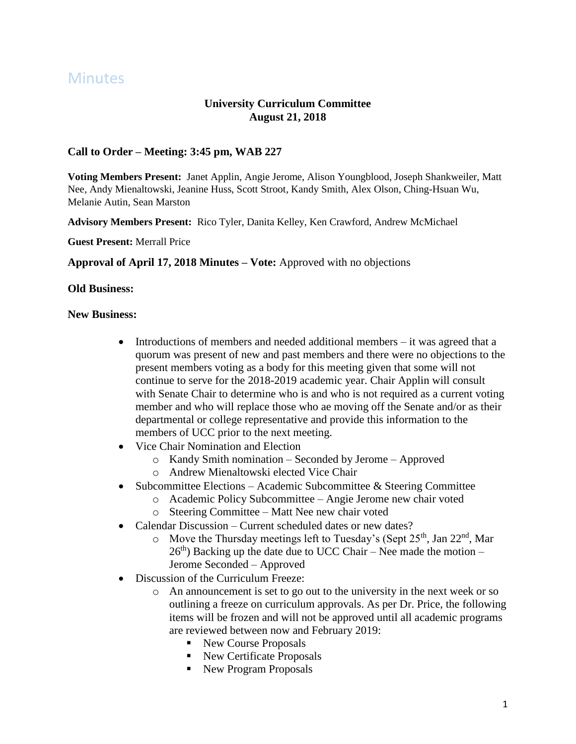# **Minutes**

# **University Curriculum Committee August 21, 2018**

## **Call to Order – Meeting: 3:45 pm, WAB 227**

**Voting Members Present:** Janet Applin, Angie Jerome, Alison Youngblood, Joseph Shankweiler, Matt Nee, Andy Mienaltowski, Jeanine Huss, Scott Stroot, Kandy Smith, Alex Olson, Ching-Hsuan Wu, Melanie Autin, Sean Marston

**Advisory Members Present:** Rico Tyler, Danita Kelley, Ken Crawford, Andrew McMichael

**Guest Present:** Merrall Price

**Approval of April 17, 2018 Minutes – Vote:** Approved with no objections

#### **Old Business:**

#### **New Business:**

- $\bullet$  Introductions of members and needed additional members it was agreed that a quorum was present of new and past members and there were no objections to the present members voting as a body for this meeting given that some will not continue to serve for the 2018-2019 academic year. Chair Applin will consult with Senate Chair to determine who is and who is not required as a current voting member and who will replace those who ae moving off the Senate and/or as their departmental or college representative and provide this information to the members of UCC prior to the next meeting.
- Vice Chair Nomination and Election
	- o Kandy Smith nomination Seconded by Jerome Approved
	- o Andrew Mienaltowski elected Vice Chair
- Subcommittee Elections Academic Subcommittee  $\&$  Steering Committee
	- o Academic Policy Subcommittee Angie Jerome new chair voted
	- o Steering Committee Matt Nee new chair voted
- Calendar Discussion Current scheduled dates or new dates?
	- $\circ$  Move the Thursday meetings left to Tuesday's (Sept 25<sup>th</sup>, Jan 22<sup>nd</sup>, Mar  $26<sup>th</sup>$ ) Backing up the date due to UCC Chair – Nee made the motion – Jerome Seconded – Approved
- Discussion of the Curriculum Freeze:
	- o An announcement is set to go out to the university in the next week or so outlining a freeze on curriculum approvals. As per Dr. Price, the following items will be frozen and will not be approved until all academic programs are reviewed between now and February 2019:
		- New Course Proposals
		- New Certificate Proposals
		- New Program Proposals